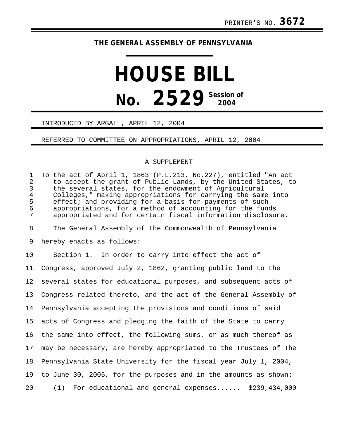## **THE GENERAL ASSEMBLY OF PENNSYLVANIA**

# **HOUSE BILL No.** 2529 Session of

#### INTRODUCED BY ARGALL, APRIL 12, 2004

### REFERRED TO COMMITTEE ON APPROPRIATIONS, APRIL 12, 2004

#### A SUPPLEMENT

1 To the act of April 1, 1863 (P.L.213, No.227), entitled "An act 2 to accept the grant of Public Lands, by the United States, to<br>3 the several states, for the endowment of Agricultural 3 the several states, for the endowment of Agricultural<br>4 Colleges." making appropriations for carrying the sam 4 Colleges," making appropriations for carrying the same into<br>5 effect; and providing for a basis for payments of such 5 effect; and providing for a basis for payments of such<br>6 appropriations, for a method of accounting for the fund appropriations, for a method of accounting for the funds 7 appropriated and for certain fiscal information disclosure. 8 The General Assembly of the Commonwealth of Pennsylvania 9 hereby enacts as follows: 10 Section 1. In order to carry into effect the act of 11 Congress, approved July 2, 1862, granting public land to the 12 several states for educational purposes, and subsequent acts of 13 Congress related thereto, and the act of the General Assembly of 14 Pennsylvania accepting the provisions and conditions of said 15 acts of Congress and pledging the faith of the State to carry 16 the same into effect, the following sums, or as much thereof as 17 may be necessary, are hereby appropriated to the Trustees of The 18 Pennsylvania State University for the fiscal year July 1, 2004, 19 to June 30, 2005, for the purposes and in the amounts as shown: 20 (1) For educational and general expenses...... \$239,434,000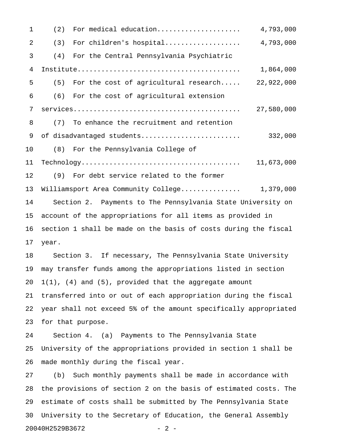1 (2) For medical education..................... 4,793,000 2 (3) For children's hospital................... 4,793,000 3 (4) For the Central Pennsylvania Psychiatric 4 Institute......................................... 1,864,000 5 (5) For the cost of agricultural research..... 22,922,000 6 (6) For the cost of agricultural extension 7 services.......................................... 27,580,000 8 (7) To enhance the recruitment and retention 9 of disadvantaged students......................... 332,000 10 (8) For the Pennsylvania College of 11 Technology........................................ 11,673,000 12 (9) For debt service related to the former 13 Williamsport Area Community College............... 1,379,000 14 Section 2. Payments to The Pennsylvania State University on 15 account of the appropriations for all items as provided in 16 section 1 shall be made on the basis of costs during the fiscal 17 year. 18 Section 3. If necessary, The Pennsylvania State University 19 may transfer funds among the appropriations listed in section 20  $1(1)$ , (4) and (5), provided that the aggregate amount 21 transferred into or out of each appropriation during the fiscal 22 year shall not exceed 5% of the amount specifically appropriated 23 for that purpose. 24 Section 4. (a) Payments to The Pennsylvania State 25 University of the appropriations provided in section 1 shall be 26 made monthly during the fiscal year. 27 (b) Such monthly payments shall be made in accordance with 28 the provisions of section 2 on the basis of estimated costs. The

29 estimate of costs shall be submitted by The Pennsylvania State 30 University to the Secretary of Education, the General Assembly 20040H2529B3672 - 2 -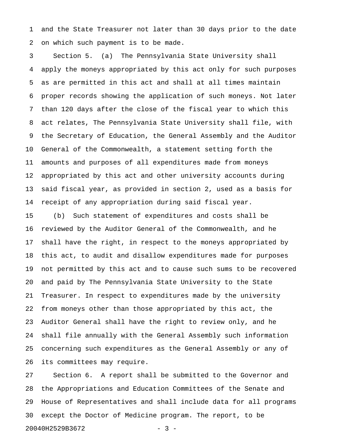1 and the State Treasurer not later than 30 days prior to the date 2 on which such payment is to be made.

3 Section 5. (a) The Pennsylvania State University shall 4 apply the moneys appropriated by this act only for such purposes 5 as are permitted in this act and shall at all times maintain 6 proper records showing the application of such moneys. Not later 7 than 120 days after the close of the fiscal year to which this 8 act relates, The Pennsylvania State University shall file, with 9 the Secretary of Education, the General Assembly and the Auditor 10 General of the Commonwealth, a statement setting forth the 11 amounts and purposes of all expenditures made from moneys 12 appropriated by this act and other university accounts during 13 said fiscal year, as provided in section 2, used as a basis for 14 receipt of any appropriation during said fiscal year.

15 (b) Such statement of expenditures and costs shall be 16 reviewed by the Auditor General of the Commonwealth, and he 17 shall have the right, in respect to the moneys appropriated by 18 this act, to audit and disallow expenditures made for purposes 19 not permitted by this act and to cause such sums to be recovered 20 and paid by The Pennsylvania State University to the State 21 Treasurer. In respect to expenditures made by the university 22 from moneys other than those appropriated by this act, the 23 Auditor General shall have the right to review only, and he 24 shall file annually with the General Assembly such information 25 concerning such expenditures as the General Assembly or any of 26 its committees may require.

27 Section 6. A report shall be submitted to the Governor and 28 the Appropriations and Education Committees of the Senate and 29 House of Representatives and shall include data for all programs 30 except the Doctor of Medicine program. The report, to be 20040H2529B3672 - 3 -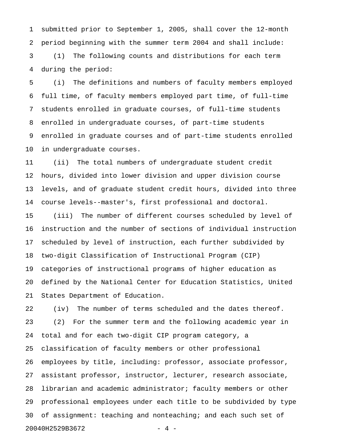1 submitted prior to September 1, 2005, shall cover the 12-month 2 period beginning with the summer term 2004 and shall include: 3 (1) The following counts and distributions for each term 4 during the period:

5 (i) The definitions and numbers of faculty members employed 6 full time, of faculty members employed part time, of full-time 7 students enrolled in graduate courses, of full-time students 8 enrolled in undergraduate courses, of part-time students 9 enrolled in graduate courses and of part-time students enrolled 10 in undergraduate courses.

11 (ii) The total numbers of undergraduate student credit 12 hours, divided into lower division and upper division course 13 levels, and of graduate student credit hours, divided into three 14 course levels--master's, first professional and doctoral.

15 (iii) The number of different courses scheduled by level of 16 instruction and the number of sections of individual instruction 17 scheduled by level of instruction, each further subdivided by 18 two-digit Classification of Instructional Program (CIP) 19 categories of instructional programs of higher education as 20 defined by the National Center for Education Statistics, United 21 States Department of Education.

22 (iv) The number of terms scheduled and the dates thereof. 23 (2) For the summer term and the following academic year in 24 total and for each two-digit CIP program category, a 25 classification of faculty members or other professional 26 employees by title, including: professor, associate professor, 27 assistant professor, instructor, lecturer, research associate, 28 librarian and academic administrator; faculty members or other 29 professional employees under each title to be subdivided by type 30 of assignment: teaching and nonteaching; and each such set of 20040H2529B3672 - 4 -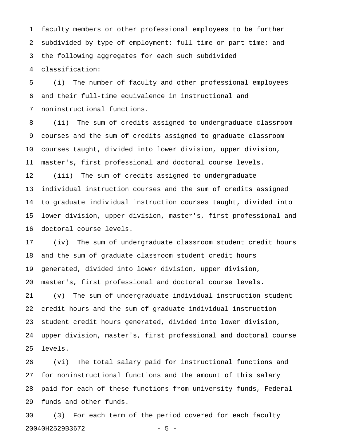1 faculty members or other professional employees to be further 2 subdivided by type of employment: full-time or part-time; and 3 the following aggregates for each such subdivided 4 classification:

5 (i) The number of faculty and other professional employees 6 and their full-time equivalence in instructional and 7 noninstructional functions.

8 (ii) The sum of credits assigned to undergraduate classroom 9 courses and the sum of credits assigned to graduate classroom 10 courses taught, divided into lower division, upper division, 11 master's, first professional and doctoral course levels. 12 (iii) The sum of credits assigned to undergraduate 13 individual instruction courses and the sum of credits assigned 14 to graduate individual instruction courses taught, divided into 15 lower division, upper division, master's, first professional and 16 doctoral course levels.

17 (iv) The sum of undergraduate classroom student credit hours 18 and the sum of graduate classroom student credit hours 19 generated, divided into lower division, upper division, 20 master's, first professional and doctoral course levels.

21 (v) The sum of undergraduate individual instruction student 22 credit hours and the sum of graduate individual instruction 23 student credit hours generated, divided into lower division, 24 upper division, master's, first professional and doctoral course 25 levels.

26 (vi) The total salary paid for instructional functions and 27 for noninstructional functions and the amount of this salary 28 paid for each of these functions from university funds, Federal 29 funds and other funds.

30 (3) For each term of the period covered for each faculty 20040H2529B3672 - 5 -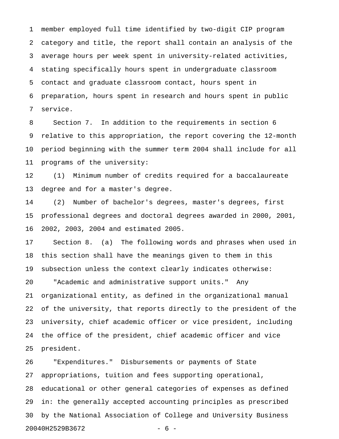1 member employed full time identified by two-digit CIP program 2 category and title, the report shall contain an analysis of the 3 average hours per week spent in university-related activities, 4 stating specifically hours spent in undergraduate classroom 5 contact and graduate classroom contact, hours spent in 6 preparation, hours spent in research and hours spent in public 7 service.

8 Section 7. In addition to the requirements in section 6 9 relative to this appropriation, the report covering the 12-month 10 period beginning with the summer term 2004 shall include for all 11 programs of the university:

12 (1) Minimum number of credits required for a baccalaureate 13 degree and for a master's degree.

14 (2) Number of bachelor's degrees, master's degrees, first 15 professional degrees and doctoral degrees awarded in 2000, 2001, 16 2002, 2003, 2004 and estimated 2005.

17 Section 8. (a) The following words and phrases when used in 18 this section shall have the meanings given to them in this 19 subsection unless the context clearly indicates otherwise:

20 "Academic and administrative support units." Any 21 organizational entity, as defined in the organizational manual 22 of the university, that reports directly to the president of the 23 university, chief academic officer or vice president, including 24 the office of the president, chief academic officer and vice 25 president.

26 "Expenditures." Disbursements or payments of State 27 appropriations, tuition and fees supporting operational, 28 educational or other general categories of expenses as defined 29 in: the generally accepted accounting principles as prescribed 30 by the National Association of College and University Business 20040H2529B3672 - 6 -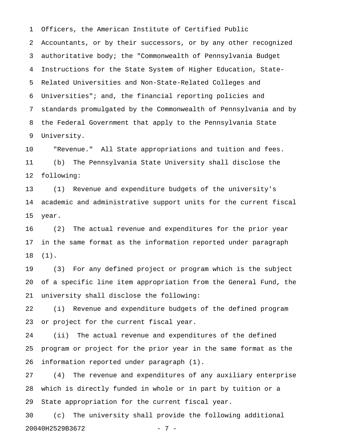1 Officers, the American Institute of Certified Public 2 Accountants, or by their successors, or by any other recognized 3 authoritative body; the "Commonwealth of Pennsylvania Budget 4 Instructions for the State System of Higher Education, State-5 Related Universities and Non-State-Related Colleges and 6 Universities"; and, the financial reporting policies and 7 standards promulgated by the Commonwealth of Pennsylvania and by 8 the Federal Government that apply to the Pennsylvania State 9 University.

10 "Revenue." All State appropriations and tuition and fees. 11 (b) The Pennsylvania State University shall disclose the 12 following:

13 (1) Revenue and expenditure budgets of the university's 14 academic and administrative support units for the current fiscal 15 year.

16 (2) The actual revenue and expenditures for the prior year 17 in the same format as the information reported under paragraph 18 (1).

19 (3) For any defined project or program which is the subject 20 of a specific line item appropriation from the General Fund, the 21 university shall disclose the following:

22 (i) Revenue and expenditure budgets of the defined program 23 or project for the current fiscal year.

24 (ii) The actual revenue and expenditures of the defined 25 program or project for the prior year in the same format as the 26 information reported under paragraph (1).

27 (4) The revenue and expenditures of any auxiliary enterprise 28 which is directly funded in whole or in part by tuition or a 29 State appropriation for the current fiscal year.

30 (c) The university shall provide the following additional 20040H2529B3672 - 7 -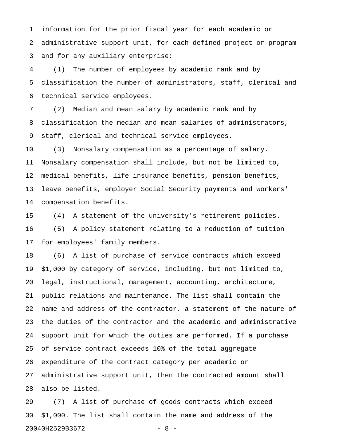1 information for the prior fiscal year for each academic or 2 administrative support unit, for each defined project or program 3 and for any auxiliary enterprise:

4 (1) The number of employees by academic rank and by 5 classification the number of administrators, staff, clerical and 6 technical service employees.

7 (2) Median and mean salary by academic rank and by 8 classification the median and mean salaries of administrators, 9 staff, clerical and technical service employees.

10 (3) Nonsalary compensation as a percentage of salary. 11 Nonsalary compensation shall include, but not be limited to, 12 medical benefits, life insurance benefits, pension benefits, 13 leave benefits, employer Social Security payments and workers' 14 compensation benefits.

15 (4) A statement of the university's retirement policies. 16 (5) A policy statement relating to a reduction of tuition 17 for employees' family members.

18 (6) A list of purchase of service contracts which exceed 19 \$1,000 by category of service, including, but not limited to, 20 legal, instructional, management, accounting, architecture, 21 public relations and maintenance. The list shall contain the 22 name and address of the contractor, a statement of the nature of 23 the duties of the contractor and the academic and administrative 24 support unit for which the duties are performed. If a purchase 25 of service contract exceeds 10% of the total aggregate 26 expenditure of the contract category per academic or 27 administrative support unit, then the contracted amount shall 28 also be listed.

29 (7) A list of purchase of goods contracts which exceed 30 \$1,000. The list shall contain the name and address of the 20040H2529B3672 - 8 -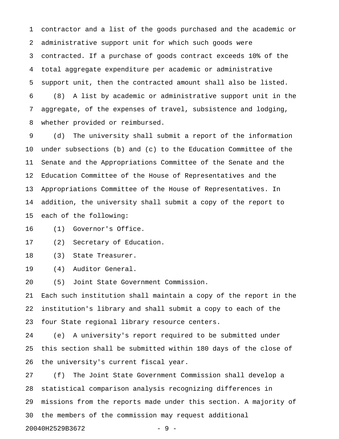1 contractor and a list of the goods purchased and the academic or 2 administrative support unit for which such goods were 3 contracted. If a purchase of goods contract exceeds 10% of the 4 total aggregate expenditure per academic or administrative 5 support unit, then the contracted amount shall also be listed. 6 (8) A list by academic or administrative support unit in the 7 aggregate, of the expenses of travel, subsistence and lodging, 8 whether provided or reimbursed.

9 (d) The university shall submit a report of the information 10 under subsections (b) and (c) to the Education Committee of the 11 Senate and the Appropriations Committee of the Senate and the 12 Education Committee of the House of Representatives and the 13 Appropriations Committee of the House of Representatives. In 14 addition, the university shall submit a copy of the report to 15 each of the following:

16 (1) Governor's Office.

17 (2) Secretary of Education.

18 (3) State Treasurer.

19 (4) Auditor General.

20 (5) Joint State Government Commission.

21 Each such institution shall maintain a copy of the report in the 22 institution's library and shall submit a copy to each of the 23 four State regional library resource centers.

24 (e) A university's report required to be submitted under 25 this section shall be submitted within 180 days of the close of 26 the university's current fiscal year.

27 (f) The Joint State Government Commission shall develop a 28 statistical comparison analysis recognizing differences in 29 missions from the reports made under this section. A majority of 30 the members of the commission may request additional

20040H2529B3672 - 9 -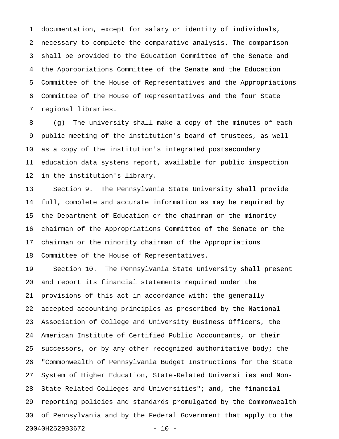1 documentation, except for salary or identity of individuals, 2 necessary to complete the comparative analysis. The comparison 3 shall be provided to the Education Committee of the Senate and 4 the Appropriations Committee of the Senate and the Education 5 Committee of the House of Representatives and the Appropriations 6 Committee of the House of Representatives and the four State 7 regional libraries.

8 (g) The university shall make a copy of the minutes of each 9 public meeting of the institution's board of trustees, as well 10 as a copy of the institution's integrated postsecondary 11 education data systems report, available for public inspection 12 in the institution's library.

13 Section 9. The Pennsylvania State University shall provide 14 full, complete and accurate information as may be required by 15 the Department of Education or the chairman or the minority 16 chairman of the Appropriations Committee of the Senate or the 17 chairman or the minority chairman of the Appropriations 18 Committee of the House of Representatives.

19 Section 10. The Pennsylvania State University shall present 20 and report its financial statements required under the 21 provisions of this act in accordance with: the generally 22 accepted accounting principles as prescribed by the National 23 Association of College and University Business Officers, the 24 American Institute of Certified Public Accountants, or their 25 successors, or by any other recognized authoritative body; the 26 "Commonwealth of Pennsylvania Budget Instructions for the State 27 System of Higher Education, State-Related Universities and Non-28 State-Related Colleges and Universities"; and, the financial 29 reporting policies and standards promulgated by the Commonwealth 30 of Pennsylvania and by the Federal Government that apply to the 20040H2529B3672 - 10 -